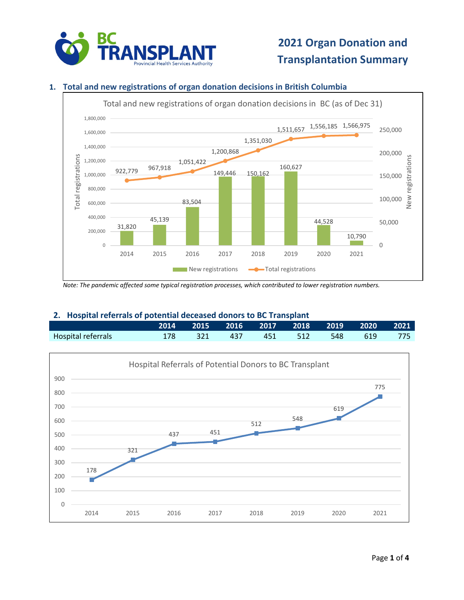

### **1. Total and new registrations of organ donation decisions in British Columbia**



*Note: The pandemic affected some typical registration processes, which contributed to lower registration numbers.*

#### **2. Hospital referrals of potential deceased donors to BC Transplant**

|                    |  |  | 2014 2015 2016 2017 2018 2019 2020 2021 |  |  |
|--------------------|--|--|-----------------------------------------|--|--|
| Hospital referrals |  |  | 178 321 437 451 512 548 619 775         |  |  |

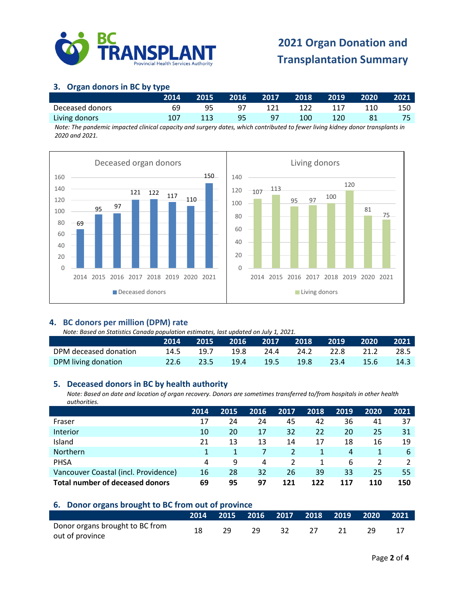

## **3. Organ donors in BC by type**

|                 | 2014 | <b>2015</b> | 2016 |      |     | $\begin{bmatrix} 2017 & 2018 & 2019 \end{bmatrix}$ |     | 2020 2021 |
|-----------------|------|-------------|------|------|-----|----------------------------------------------------|-----|-----------|
| Deceased donors | 69   |             | 97   | -121 | 122 | 117                                                | 110 | 150       |
| Living donors   | 107  | 113         | 95   | 97   | 100 | 120                                                |     |           |

*Note: The pandemic impacted clinical capacity and surgery dates, which contributed to fewer living kidney donor transplants in 2020 and 2021.*



### **4. BC donors per million (DPM) rate**

*Note: Based on Statistics Canada population estimates, last updated on July 1, 2021.*

|                       | 2014 | 2015 2016 2017 2018 2019 2020 2021 |  |                |                |        |
|-----------------------|------|------------------------------------|--|----------------|----------------|--------|
| DPM deceased donation |      | 14.5 19.7 19.8 24.4                |  | 24.2 22.8 21.2 |                | 28.5   |
| DPM living donation   |      | 22.6 23.5 19.4 19.5                |  |                | 19.8 23.4 15.6 | - 14.3 |

#### **5. Deceased donors in BC by health authority**

*Note: Based on date and location of organ recovery. Donors are sometimes transferred to/from hospitals in other health authorities.*

|                                      | 2014 | 2015 | 2016 | 2017          | 2018 | 2019 | 2020 | 2021 |
|--------------------------------------|------|------|------|---------------|------|------|------|------|
| Fraser                               | 17   | 24   | 24   | 45            | 42   | 36   | 41   | 37   |
| Interior                             | 10   | 20   | 17   | 32            | 22   | 20   | 25   | 31   |
| Island                               | 21   | 13   | 13   | 14            | 17   | 18   | 16   | 19   |
| Northern                             |      |      |      | $\mathcal{P}$ | 1    | 4    |      | 6    |
| <b>PHSA</b>                          | 4    | 9    | 4    |               |      | 6    |      |      |
| Vancouver Coastal (incl. Providence) | 16   | 28   | 32   | 26            | 39   | 33   | 25   | 55   |
| Total number of deceased donors      | 69   | 95   | 97   | 121           | 122  | 117  | 110  | 150  |

#### **6. Donor organs brought to BC from out of province**

|                                                    |  |     |    | 2014 2015 2016 2017 2018 2019 2020 2021 |  |  |
|----------------------------------------------------|--|-----|----|-----------------------------------------|--|--|
| Donor organs brought to BC from<br>out of province |  | 29. | 32 |                                         |  |  |
|                                                    |  |     |    |                                         |  |  |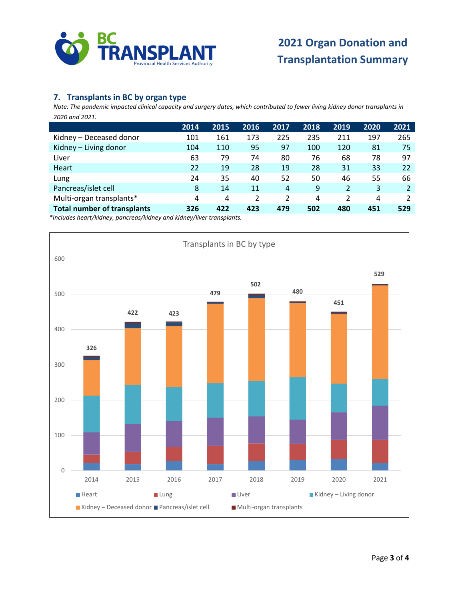

### **7. Transplants in BC by organ type**

*Note: The pandemic impacted clinical capacity and surgery dates, which contributed to fewer living kidney donor transplants in 2020 and 2021.* **6.** 

|                                    | 2014 | 2015 | 2016 | 2017 | 2018 | 2019 | 2020 | 2021 |
|------------------------------------|------|------|------|------|------|------|------|------|
| Kidney – Deceased donor            | 101  | 161  | 173  | 225  | 235  | 211  | 197  | 265  |
| Kidney - Living donor              | 104  | 110  | 95   | 97   | 100  | 120  | 81   | 75   |
| Liver                              | 63   | 79   | 74   | 80   | 76   | 68   | 78   | 97   |
| Heart                              | 22   | 19   | 28   | 19   | 28   | 31   | 33   | 22   |
| Lung                               | 24   | 35   | 40   | 52   | 50   | 46   | 55   | 66   |
| Pancreas/islet cell                | 8    | 14   | 11   | 4    | 9    | 2    | 3    |      |
| Multi-organ transplants*           | 4    | 4    |      | 2    | 4    | 2    | 4    |      |
| <b>Total number of transplants</b> | 326  | 422  | 423  | 479  | 502  | 480  | 451  | 529  |

*\*Includes heart/kidney, pancreas/kidney and kidney/liver transplants.*